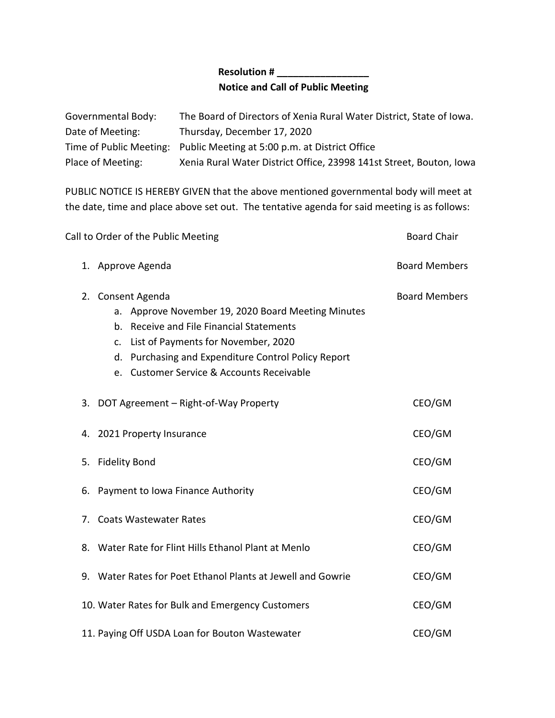## **Resolution # \_\_\_\_\_\_\_\_\_\_\_\_\_\_\_\_\_ Notice and Call of Public Meeting**

| Governmental Body: | The Board of Directors of Xenia Rural Water District, State of Iowa.   |
|--------------------|------------------------------------------------------------------------|
| Date of Meeting:   | Thursday, December 17, 2020                                            |
|                    | Time of Public Meeting: Public Meeting at 5:00 p.m. at District Office |
| Place of Meeting:  | Xenia Rural Water District Office, 23998 141st Street, Bouton, Iowa    |

PUBLIC NOTICE IS HEREBY GIVEN that the above mentioned governmental body will meet at the date, time and place above set out. The tentative agenda for said meeting is as follows:

| Call to Order of the Public Meeting                                                                                                                                                                                                                                              | <b>Board Chair</b>   |
|----------------------------------------------------------------------------------------------------------------------------------------------------------------------------------------------------------------------------------------------------------------------------------|----------------------|
| 1. Approve Agenda                                                                                                                                                                                                                                                                | <b>Board Members</b> |
| 2. Consent Agenda<br>a. Approve November 19, 2020 Board Meeting Minutes<br>b. Receive and File Financial Statements<br>List of Payments for November, 2020<br>$\mathsf{C}$ .<br>d. Purchasing and Expenditure Control Policy Report<br>e. Customer Service & Accounts Receivable | <b>Board Members</b> |
| 3. DOT Agreement - Right-of-Way Property                                                                                                                                                                                                                                         | CEO/GM               |
| 4. 2021 Property Insurance                                                                                                                                                                                                                                                       | CEO/GM               |
| 5. Fidelity Bond                                                                                                                                                                                                                                                                 | CEO/GM               |
| 6. Payment to Iowa Finance Authority                                                                                                                                                                                                                                             | CEO/GM               |
| 7. Coats Wastewater Rates                                                                                                                                                                                                                                                        | CEO/GM               |
| 8. Water Rate for Flint Hills Ethanol Plant at Menlo                                                                                                                                                                                                                             | CEO/GM               |
| 9. Water Rates for Poet Ethanol Plants at Jewell and Gowrie                                                                                                                                                                                                                      | CEO/GM               |
| 10. Water Rates for Bulk and Emergency Customers                                                                                                                                                                                                                                 | CEO/GM               |
| 11. Paying Off USDA Loan for Bouton Wastewater                                                                                                                                                                                                                                   | CEO/GM               |